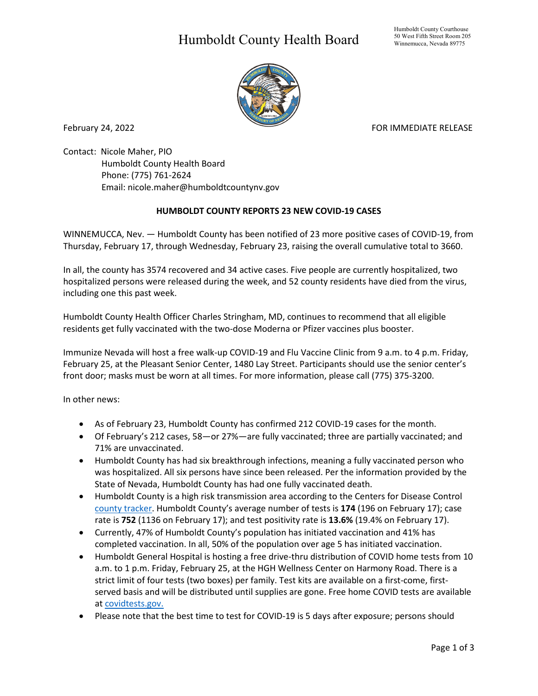## Humboldt County Health Board



February 24, 2022 **For a struck of the COVID-ST** Extending Formulation of the FOR IMMEDIATE RELEASE

Contact: Nicole Maher, PIO Humboldt County Health Board Phone: (775) 761-2624 Email: nicole.maher@humboldtcountynv.gov

## **HUMBOLDT COUNTY REPORTS 23 NEW COVID-19 CASES**

WINNEMUCCA, Nev. — Humboldt County has been notified of 23 more positive cases of COVID-19, from Thursday, February 17, through Wednesday, February 23, raising the overall cumulative total to 3660.

In all, the county has 3574 recovered and 34 active cases. Five people are currently hospitalized, two hospitalized persons were released during the week, and 52 county residents have died from the virus, including one this past week.

Humboldt County Health Officer Charles Stringham, MD, continues to recommend that all eligible residents get fully vaccinated with the two-dose Moderna or Pfizer vaccines plus booster.

Immunize Nevada will host a free walk-up COVID-19 and Flu Vaccine Clinic from 9 a.m. to 4 p.m. Friday, February 25, at the Pleasant Senior Center, 1480 Lay Street. Participants should use the senior center's front door; masks must be worn at all times. For more information, please call (775) 375-3200.

In other news:

- As of February 23, Humboldt County has confirmed 212 COVID-19 cases for the month.
- Of February's 212 cases, 58—or 27%—are fully vaccinated; three are partially vaccinated; and 71% are unvaccinated.
- Humboldt County has had six breakthrough infections, meaning a fully vaccinated person who was hospitalized. All six persons have since been released. Per the information provided by the State of Nevada, Humboldt County has had one fully vaccinated death.
- Humboldt County is a high risk transmission area according to the Centers for Disease Control [county tracker.](https://nvhealthresponse.nv.gov/current-status-mitigation-measures/) Humboldt County's average number of tests is **174** (196 on February 17); case rate is **752** (1136 on February 17); and test positivity rate is **13.6%** (19.4% on February 17).
- Currently, 47% of Humboldt County's population has initiated vaccination and 41% has completed vaccination. In all, 50% of the population over age 5 has initiated vaccination.
- Humboldt General Hospital is hosting a free drive-thru distribution of COVID home tests from 10 a.m. to 1 p.m. Friday, February 25, at the HGH Wellness Center on Harmony Road. There is a strict limit of four tests (two boxes) per family. Test kits are available on a first-come, firstserved basis and will be distributed until supplies are gone. Free home COVID tests are available at [covidtests.gov.](http://covidtests.gov/?fbclid=IwAR2Txjdz0UDpWTJJs49a-dQqttNXB97rCKobsw2LA8QaFrDNODXdddMUJx4)
- Please note that the best time to test for COVID-19 is 5 days after exposure; persons should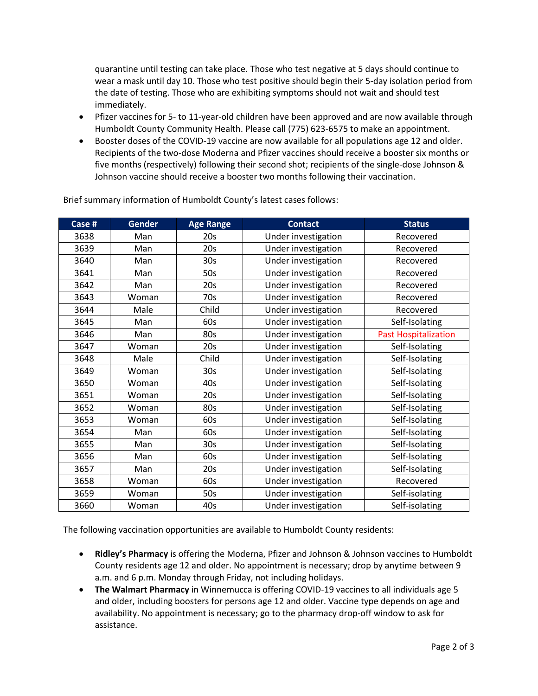quarantine until testing can take place. Those who test negative at 5 days should continue to wear a mask until day 10. Those who test positive should begin their 5-day isolation period from the date of testing. Those who are exhibiting symptoms should not wait and should test immediately.

- Pfizer vaccines for 5- to 11-year-old children have been approved and are now available through Humboldt County Community Health. Please call (775) 623-6575 to make an appointment.
- Booster doses of the COVID-19 vaccine are now available for all populations age 12 and older. Recipients of the two-dose Moderna and Pfizer vaccines should receive a booster six months or five months (respectively) following their second shot; recipients of the single-dose Johnson & Johnson vaccine should receive a booster two months following their vaccination.

| Case # | <b>Gender</b> | <b>Age Range</b> | <b>Contact</b>      | <b>Status</b>               |
|--------|---------------|------------------|---------------------|-----------------------------|
| 3638   | Man           | 20s              | Under investigation | Recovered                   |
| 3639   | Man           | 20s              | Under investigation | Recovered                   |
| 3640   | Man           | 30 <sub>s</sub>  | Under investigation | Recovered                   |
| 3641   | Man           | 50s              | Under investigation | Recovered                   |
| 3642   | Man           | 20s              | Under investigation | Recovered                   |
| 3643   | Woman         | 70s              | Under investigation | Recovered                   |
| 3644   | Male          | Child            | Under investigation | Recovered                   |
| 3645   | Man           | 60s              | Under investigation | Self-Isolating              |
| 3646   | Man           | 80s              | Under investigation | <b>Past Hospitalization</b> |
| 3647   | Woman         | 20s              | Under investigation | Self-Isolating              |
| 3648   | Male          | Child            | Under investigation | Self-Isolating              |
| 3649   | Woman         | 30 <sub>s</sub>  | Under investigation | Self-Isolating              |
| 3650   | Woman         | 40s              | Under investigation | Self-Isolating              |
| 3651   | Woman         | 20s              | Under investigation | Self-Isolating              |
| 3652   | Woman         | 80s              | Under investigation | Self-Isolating              |
| 3653   | Woman         | 60s              | Under investigation | Self-Isolating              |
| 3654   | Man           | 60s              | Under investigation | Self-Isolating              |
| 3655   | Man           | 30 <sub>s</sub>  | Under investigation | Self-Isolating              |
| 3656   | Man           | 60s              | Under investigation | Self-Isolating              |
| 3657   | Man           | 20s              | Under investigation | Self-Isolating              |
| 3658   | Woman         | 60s              | Under investigation | Recovered                   |
| 3659   | Woman         | 50s              | Under investigation | Self-isolating              |
| 3660   | Woman         | 40s              | Under investigation | Self-isolating              |

Brief summary information of Humboldt County's latest cases follows:

The following vaccination opportunities are available to Humboldt County residents:

- **Ridley's Pharmacy** is offering the Moderna, Pfizer and Johnson & Johnson vaccines to Humboldt County residents age 12 and older. No appointment is necessary; drop by anytime between 9 a.m. and 6 p.m. Monday through Friday, not including holidays.
- **The Walmart Pharmacy** in Winnemucca is offering COVID-19 vaccines to all individuals age 5 and older, including boosters for persons age 12 and older. Vaccine type depends on age and availability. No appointment is necessary; go to the pharmacy drop-off window to ask for assistance.